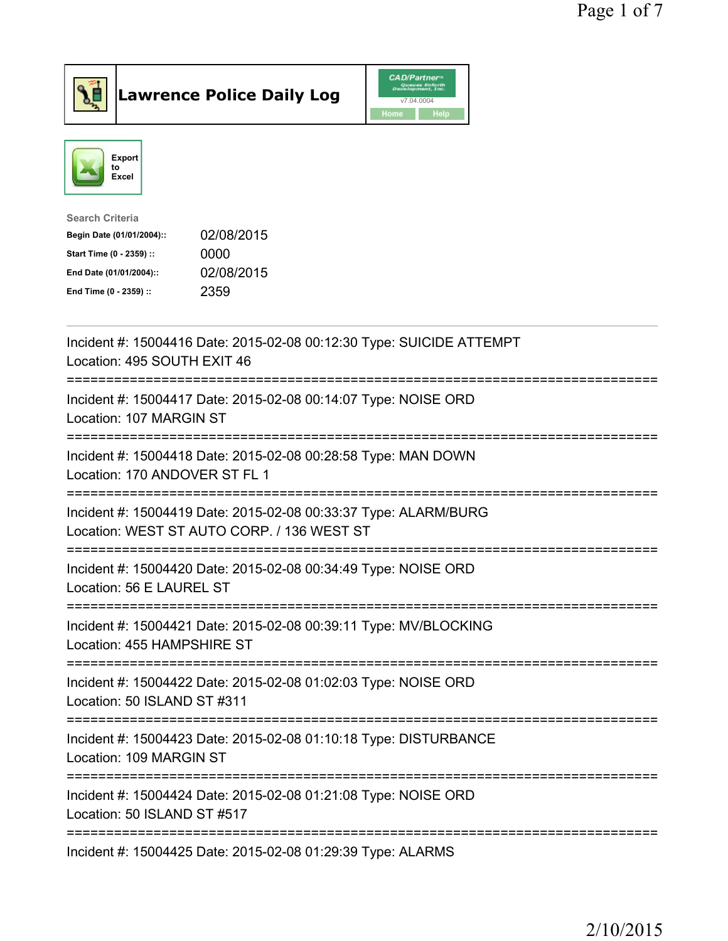



| <b>Search Criteria</b>    |            |
|---------------------------|------------|
| Begin Date (01/01/2004):: | 02/08/2015 |
| Start Time (0 - 2359) ::  | 0000       |
| End Date (01/01/2004)::   | 02/08/2015 |
| End Time (0 - 2359) ::    | 2359       |

| Incident #: 15004416 Date: 2015-02-08 00:12:30 Type: SUICIDE ATTEMPT<br>Location: 495 SOUTH EXIT 46           |
|---------------------------------------------------------------------------------------------------------------|
| Incident #: 15004417 Date: 2015-02-08 00:14:07 Type: NOISE ORD<br>Location: 107 MARGIN ST                     |
| Incident #: 15004418 Date: 2015-02-08 00:28:58 Type: MAN DOWN<br>Location: 170 ANDOVER ST FL 1                |
| Incident #: 15004419 Date: 2015-02-08 00:33:37 Type: ALARM/BURG<br>Location: WEST ST AUTO CORP. / 136 WEST ST |
| Incident #: 15004420 Date: 2015-02-08 00:34:49 Type: NOISE ORD<br>Location: 56 E LAUREL ST                    |
| Incident #: 15004421 Date: 2015-02-08 00:39:11 Type: MV/BLOCKING<br>Location: 455 HAMPSHIRE ST                |
| Incident #: 15004422 Date: 2015-02-08 01:02:03 Type: NOISE ORD<br>Location: 50 ISLAND ST #311                 |
| Incident #: 15004423 Date: 2015-02-08 01:10:18 Type: DISTURBANCE<br>Location: 109 MARGIN ST                   |
| Incident #: 15004424 Date: 2015-02-08 01:21:08 Type: NOISE ORD<br>Location: 50 ISLAND ST #517                 |
| Incident #: 15004425 Date: 2015-02-08 01:29:39 Type: ALARMS                                                   |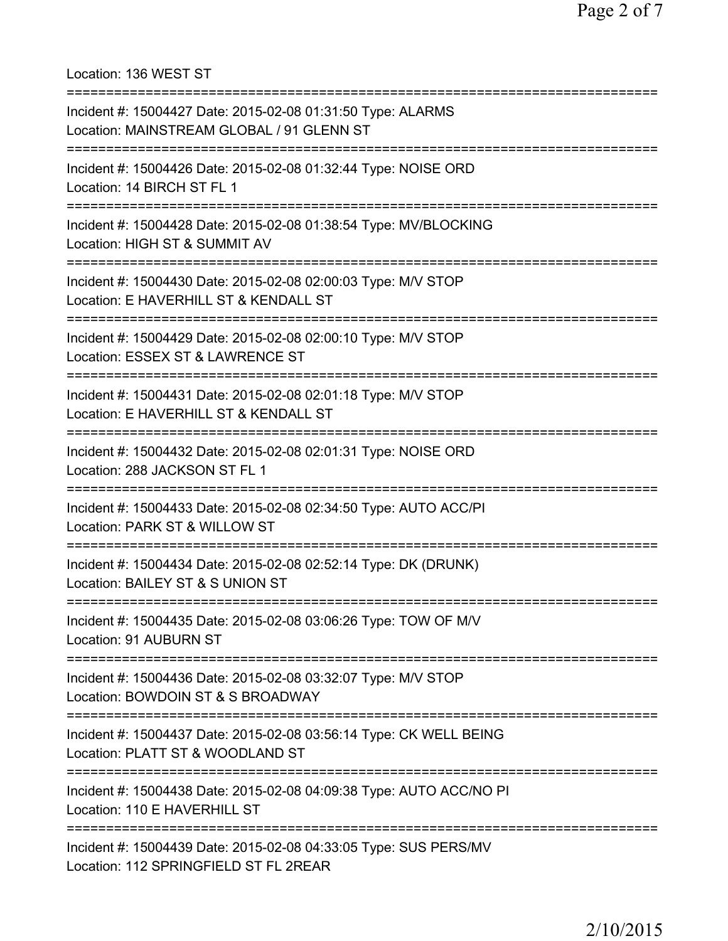=========================================================================== Incident #: 15004427 Date: 2015-02-08 01:31:50 Type: ALARMS Location: MAINSTREAM GLOBAL / 91 GLENN ST =========================================================================== Incident #: 15004426 Date: 2015-02-08 01:32:44 Type: NOISE ORD Location: 14 BIRCH ST FL 1 =========================================================================== Incident #: 15004428 Date: 2015-02-08 01:38:54 Type: MV/BLOCKING Location: HIGH ST & SUMMIT AV =========================================================================== Incident #: 15004430 Date: 2015-02-08 02:00:03 Type: M/V STOP Location: E HAVERHILL ST & KENDALL ST =========================================================================== Incident #: 15004429 Date: 2015-02-08 02:00:10 Type: M/V STOP Location: ESSEX ST & LAWRENCE ST =========================================================================== Incident #: 15004431 Date: 2015-02-08 02:01:18 Type: M/V STOP Location: E HAVERHILL ST & KENDALL ST =========================================================================== Incident #: 15004432 Date: 2015-02-08 02:01:31 Type: NOISE ORD Location: 288 JACKSON ST FL 1 =========================================================================== Incident #: 15004433 Date: 2015-02-08 02:34:50 Type: AUTO ACC/PI Location: PARK ST & WILLOW ST =========================================================================== Incident #: 15004434 Date: 2015-02-08 02:52:14 Type: DK (DRUNK) Location: BAILEY ST & S UNION ST =========================================================================== Incident #: 15004435 Date: 2015-02-08 03:06:26 Type: TOW OF M/V Location: 91 AUBURN ST =========================================================================== Incident #: 15004436 Date: 2015-02-08 03:32:07 Type: M/V STOP Location: BOWDOIN ST & S BROADWAY =========================================================================== Incident #: 15004437 Date: 2015-02-08 03:56:14 Type: CK WELL BEING Location: PLATT ST & WOODLAND ST =========================================================================== Incident #: 15004438 Date: 2015-02-08 04:09:38 Type: AUTO ACC/NO PI Location: 110 E HAVERHILL ST =========================================================================== Incident #: 15004439 Date: 2015-02-08 04:33:05 Type: SUS PERS/MV Location: 112 SPRINGFIELD ST FL 2REAR

Location: 136 WEST ST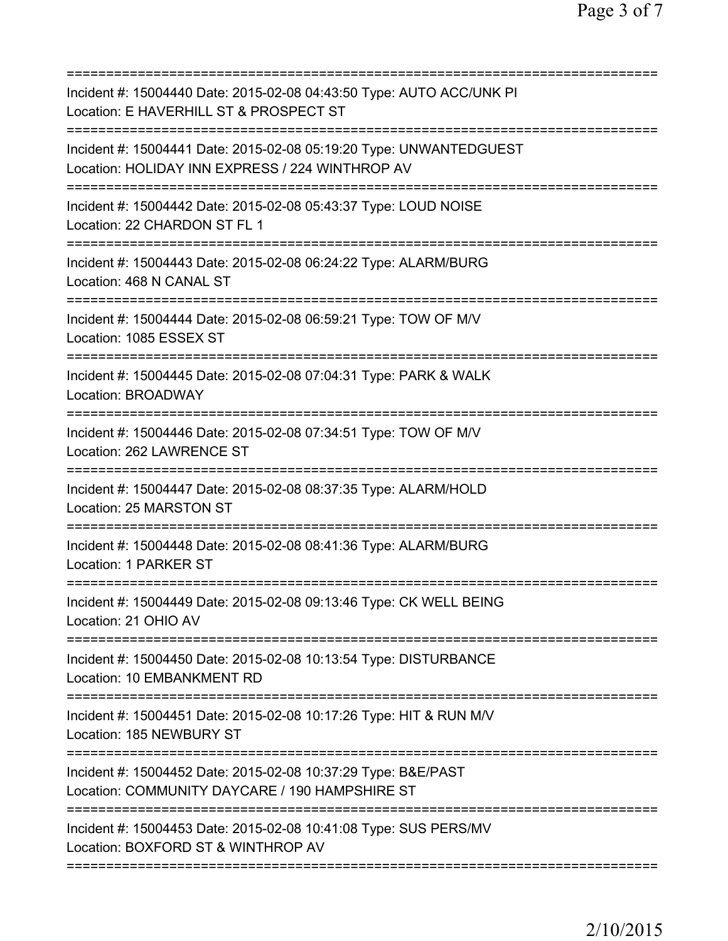| Incident #: 15004440 Date: 2015-02-08 04:43:50 Type: AUTO ACC/UNK PI<br>Location: E HAVERHILL ST & PROSPECT ST                                                |
|---------------------------------------------------------------------------------------------------------------------------------------------------------------|
| Incident #: 15004441 Date: 2015-02-08 05:19:20 Type: UNWANTEDGUEST<br>Location: HOLIDAY INN EXPRESS / 224 WINTHROP AV<br>==================================== |
| Incident #: 15004442 Date: 2015-02-08 05:43:37 Type: LOUD NOISE<br>Location: 22 CHARDON ST FL 1                                                               |
| Incident #: 15004443 Date: 2015-02-08 06:24:22 Type: ALARM/BURG<br>Location: 468 N CANAL ST                                                                   |
| Incident #: 15004444 Date: 2015-02-08 06:59:21 Type: TOW OF M/V<br>Location: 1085 ESSEX ST                                                                    |
| Incident #: 15004445 Date: 2015-02-08 07:04:31 Type: PARK & WALK<br><b>Location: BROADWAY</b>                                                                 |
| Incident #: 15004446 Date: 2015-02-08 07:34:51 Type: TOW OF M/V<br>Location: 262 LAWRENCE ST                                                                  |
| Incident #: 15004447 Date: 2015-02-08 08:37:35 Type: ALARM/HOLD<br>Location: 25 MARSTON ST                                                                    |
| Incident #: 15004448 Date: 2015-02-08 08:41:36 Type: ALARM/BURG<br>Location: 1 PARKER ST                                                                      |
| Incident #: 15004449 Date: 2015-02-08 09:13:46 Type: CK WELL BEING<br>Location: 21 OHIO AV                                                                    |
| Incident #: 15004450 Date: 2015-02-08 10:13:54 Type: DISTURBANCE<br>Location: 10 EMBANKMENT RD                                                                |
| Incident #: 15004451 Date: 2015-02-08 10:17:26 Type: HIT & RUN M/V<br>Location: 185 NEWBURY ST                                                                |
| Incident #: 15004452 Date: 2015-02-08 10:37:29 Type: B&E/PAST<br>Location: COMMUNITY DAYCARE / 190 HAMPSHIRE ST                                               |
| Incident #: 15004453 Date: 2015-02-08 10:41:08 Type: SUS PERS/MV<br>Location: BOXFORD ST & WINTHROP AV                                                        |
|                                                                                                                                                               |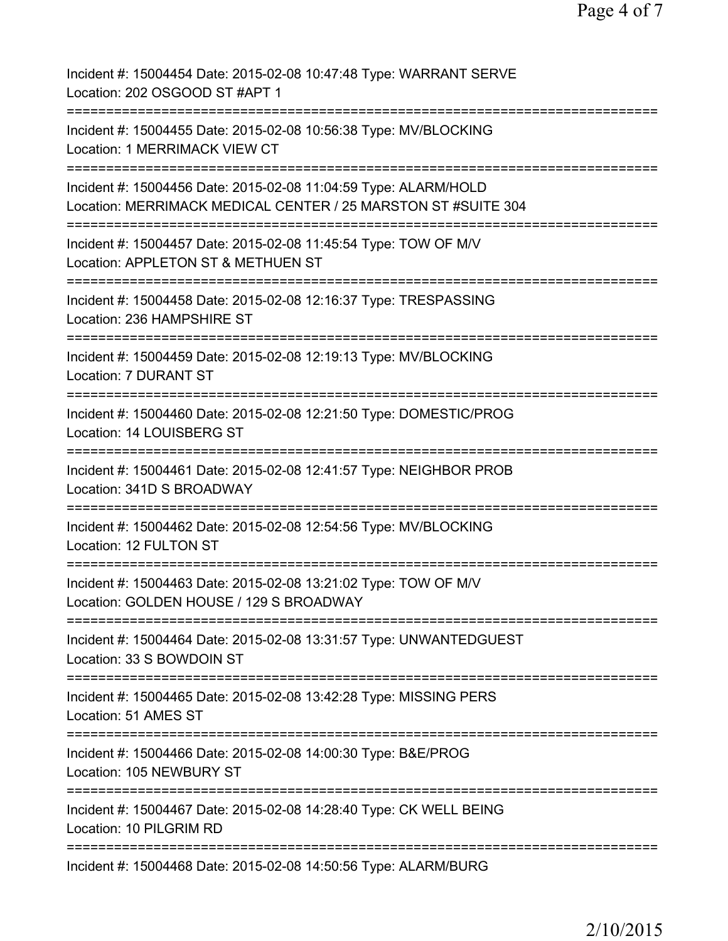Page 4 of 7

Incident #: 15004454 Date: 2015-02-08 10:47:48 Type: WARRANT SERVE Location: 202 OSGOOD ST #APT 1 =========================================================================== Incident #: 15004455 Date: 2015-02-08 10:56:38 Type: MV/BLOCKING Location: 1 MERRIMACK VIEW CT =========================================================================== Incident #: 15004456 Date: 2015-02-08 11:04:59 Type: ALARM/HOLD Location: MERRIMACK MEDICAL CENTER / 25 MARSTON ST #SUITE 304 =========================================================================== Incident #: 15004457 Date: 2015-02-08 11:45:54 Type: TOW OF M/V Location: APPLETON ST & METHUEN ST =========================================================================== Incident #: 15004458 Date: 2015-02-08 12:16:37 Type: TRESPASSING Location: 236 HAMPSHIRE ST =========================================================================== Incident #: 15004459 Date: 2015-02-08 12:19:13 Type: MV/BLOCKING Location: 7 DURANT ST =========================================================================== Incident #: 15004460 Date: 2015-02-08 12:21:50 Type: DOMESTIC/PROG Location: 14 LOUISBERG ST =========================================================================== Incident #: 15004461 Date: 2015-02-08 12:41:57 Type: NEIGHBOR PROB Location: 341D S BROADWAY =========================================================================== Incident #: 15004462 Date: 2015-02-08 12:54:56 Type: MV/BLOCKING Location: 12 FULTON ST =========================================================================== Incident #: 15004463 Date: 2015-02-08 13:21:02 Type: TOW OF M/V Location: GOLDEN HOUSE / 129 S BROADWAY =========================================================================== Incident #: 15004464 Date: 2015-02-08 13:31:57 Type: UNWANTEDGUEST Location: 33 S BOWDOIN ST =========================================================================== Incident #: 15004465 Date: 2015-02-08 13:42:28 Type: MISSING PERS Location: 51 AMES ST =========================================================================== Incident #: 15004466 Date: 2015-02-08 14:00:30 Type: B&E/PROG Location: 105 NEWBURY ST =========================================================================== Incident #: 15004467 Date: 2015-02-08 14:28:40 Type: CK WELL BEING Location: 10 PILGRIM RD =========================================================================== Incident #: 15004468 Date: 2015-02-08 14:50:56 Type: ALARM/BURG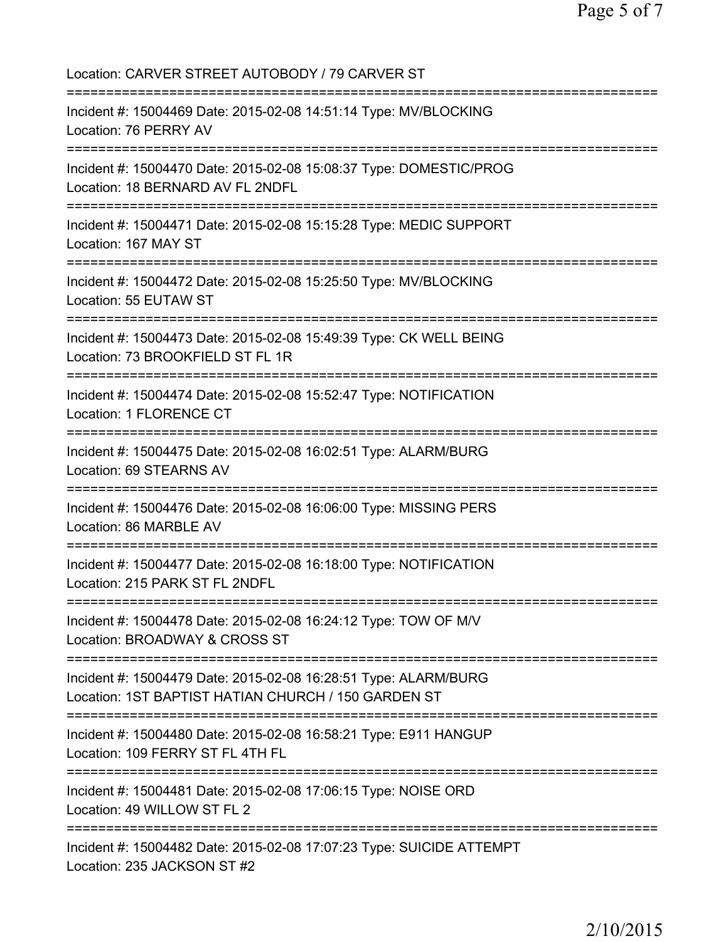| Location: CARVER STREET AUTOBODY / 79 CARVER ST                                                                                        |
|----------------------------------------------------------------------------------------------------------------------------------------|
| Incident #: 15004469 Date: 2015-02-08 14:51:14 Type: MV/BLOCKING<br>Location: 76 PERRY AV                                              |
| Incident #: 15004470 Date: 2015-02-08 15:08:37 Type: DOMESTIC/PROG<br>Location: 18 BERNARD AV FL 2NDFL                                 |
| Incident #: 15004471 Date: 2015-02-08 15:15:28 Type: MEDIC SUPPORT<br>Location: 167 MAY ST                                             |
| Incident #: 15004472 Date: 2015-02-08 15:25:50 Type: MV/BLOCKING<br>Location: 55 EUTAW ST                                              |
| Incident #: 15004473 Date: 2015-02-08 15:49:39 Type: CK WELL BEING<br>Location: 73 BROOKFIELD ST FL 1R                                 |
| Incident #: 15004474 Date: 2015-02-08 15:52:47 Type: NOTIFICATION<br><b>Location: 1 FLORENCE CT</b><br>:============================== |
| Incident #: 15004475 Date: 2015-02-08 16:02:51 Type: ALARM/BURG<br>Location: 69 STEARNS AV                                             |
| Incident #: 15004476 Date: 2015-02-08 16:06:00 Type: MISSING PERS<br>Location: 86 MARBLE AV                                            |
| Incident #: 15004477 Date: 2015-02-08 16:18:00 Type: NOTIFICATION<br>Location: 215 PARK ST FL 2NDFL                                    |
| Incident #: 15004478 Date: 2015-02-08 16:24:12 Type: TOW OF M/V<br>Location: BROADWAY & CROSS ST                                       |
| Incident #: 15004479 Date: 2015-02-08 16:28:51 Type: ALARM/BURG<br>Location: 1ST BAPTIST HATIAN CHURCH / 150 GARDEN ST                 |
| Incident #: 15004480 Date: 2015-02-08 16:58:21 Type: E911 HANGUP<br>Location: 109 FERRY ST FL 4TH FL                                   |
| Incident #: 15004481 Date: 2015-02-08 17:06:15 Type: NOISE ORD<br>Location: 49 WILLOW ST FL 2                                          |
| Incident #: 15004482 Date: 2015-02-08 17:07:23 Type: SUICIDE ATTEMPT<br>Location: 235 JACKSON ST #2                                    |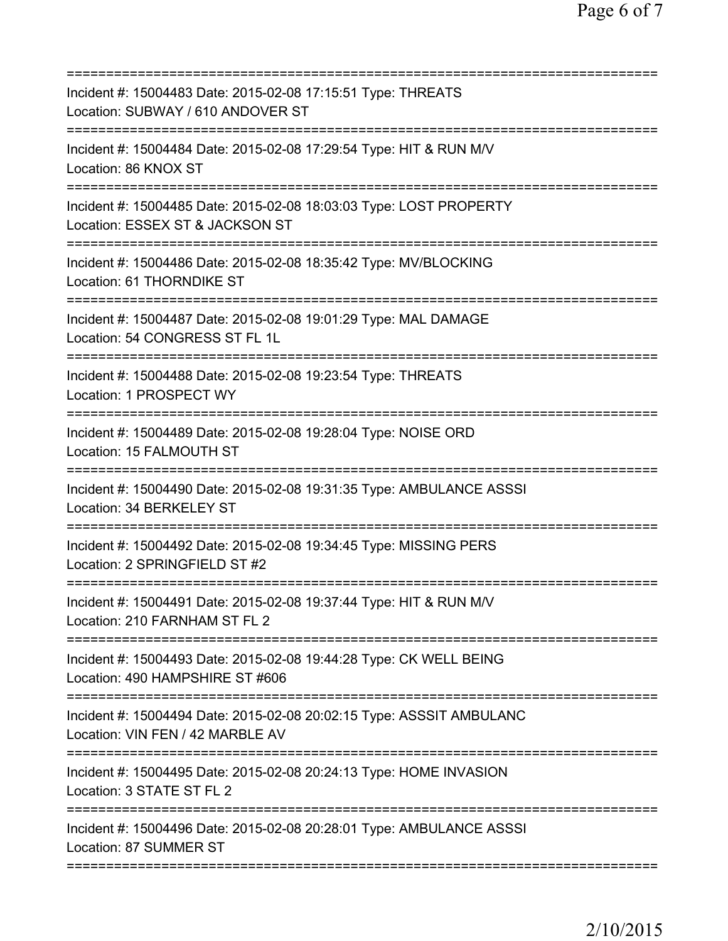| Incident #: 15004483 Date: 2015-02-08 17:15:51 Type: THREATS<br>Location: SUBWAY / 610 ANDOVER ST<br>===============================<br>========================== |
|--------------------------------------------------------------------------------------------------------------------------------------------------------------------|
| Incident #: 15004484 Date: 2015-02-08 17:29:54 Type: HIT & RUN M/V<br>Location: 86 KNOX ST                                                                         |
| Incident #: 15004485 Date: 2015-02-08 18:03:03 Type: LOST PROPERTY<br>Location: ESSEX ST & JACKSON ST                                                              |
| Incident #: 15004486 Date: 2015-02-08 18:35:42 Type: MV/BLOCKING<br>Location: 61 THORNDIKE ST                                                                      |
| Incident #: 15004487 Date: 2015-02-08 19:01:29 Type: MAL DAMAGE<br>Location: 54 CONGRESS ST FL 1L                                                                  |
| :=======================<br>Incident #: 15004488 Date: 2015-02-08 19:23:54 Type: THREATS<br>Location: 1 PROSPECT WY                                                |
| Incident #: 15004489 Date: 2015-02-08 19:28:04 Type: NOISE ORD<br>Location: 15 FALMOUTH ST                                                                         |
| Incident #: 15004490 Date: 2015-02-08 19:31:35 Type: AMBULANCE ASSSI<br>Location: 34 BERKELEY ST                                                                   |
| Incident #: 15004492 Date: 2015-02-08 19:34:45 Type: MISSING PERS<br>Location: 2 SPRINGFIELD ST #2                                                                 |
| Incident #: 15004491 Date: 2015-02-08 19:37:44 Type: HIT & RUN M/V<br>Location: 210 FARNHAM ST FL 2                                                                |
| Incident #: 15004493 Date: 2015-02-08 19:44:28 Type: CK WELL BEING<br>Location: 490 HAMPSHIRE ST #606                                                              |
| Incident #: 15004494 Date: 2015-02-08 20:02:15 Type: ASSSIT AMBULANC<br>Location: VIN FEN / 42 MARBLE AV                                                           |
| Incident #: 15004495 Date: 2015-02-08 20:24:13 Type: HOME INVASION<br>Location: 3 STATE ST FL 2                                                                    |
| Incident #: 15004496 Date: 2015-02-08 20:28:01 Type: AMBULANCE ASSSI<br>Location: 87 SUMMER ST                                                                     |
|                                                                                                                                                                    |